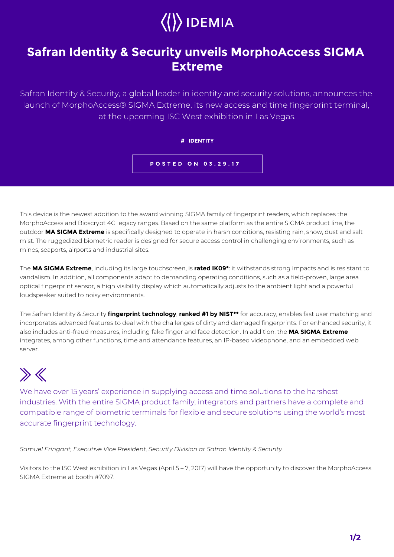## $\langle\langle\rangle\rangle$  IDEMIA

## **Safran Identity & Security unveils MorphoAccess SIGMA Extreme**

Safran Identity & Security, a global leader in identity and security solutions, announces the launch of MorphoAccess® SIGMA Extreme, its new access and time fingerprint terminal, at the upcoming ISC West exhibition in Las Vegas.

## **# IDENTITY**

**POSTED ON 03.29.17**

This device is the newest addition to the award winning SIGMA family of fingerprint readers, which replaces the MorphoAccess and Bioscrypt 4G legacy ranges. Based on the same platform as the entire SIGMA product line, the outdoor **MA SIGMA Extreme** is specifically designed to operate in harsh conditions, resisting rain, snow, dust and salt mist. The ruggedized biometric reader is designed for secure access control in challenging environments, such as mines, seaports, airports and industrial sites.

The **MA SIGMA Extreme**, including its large touchscreen, is **rated IK09\***: it withstands strong impacts and is resistant to vandalism. In addition, all components adapt to demanding operating conditions, such as a field-proven, large area optical fingerprint sensor, a high visibility display which automatically adjusts to the ambient light and a powerful loudspeaker suited to noisy environments.

The Safran Identity & Security **fingerprint technology**, **ranked #1 by NIST\*\*** for accuracy, enables fast user matching and incorporates advanced features to deal with the challenges of dirty and damaged fingerprints. For enhanced security, it also includes anti-fraud measures, including fake finger and face detection. In addition, the **MA SIGMA Extreme** integrates, among other functions, time and attendance features, an IP-based videophone, and an embedded web server.

## $\gg K$

We have over 15 years' experience in supplying access and time solutions to the harshest industries. With the entire SIGMA product family, integrators and partners have a complete and compatible range of biometric terminals for flexible and secure solutions using the world's most accurate fingerprint technology.

*Samuel Fringant, Executive Vice President, Security Division at Safran Identity & Security*

Visitors to the ISC West exhibition in Las Vegas (April 5 – 7, 2017) will have the opportunity to discover the MorphoAccess SIGMA Extreme at booth #7097.